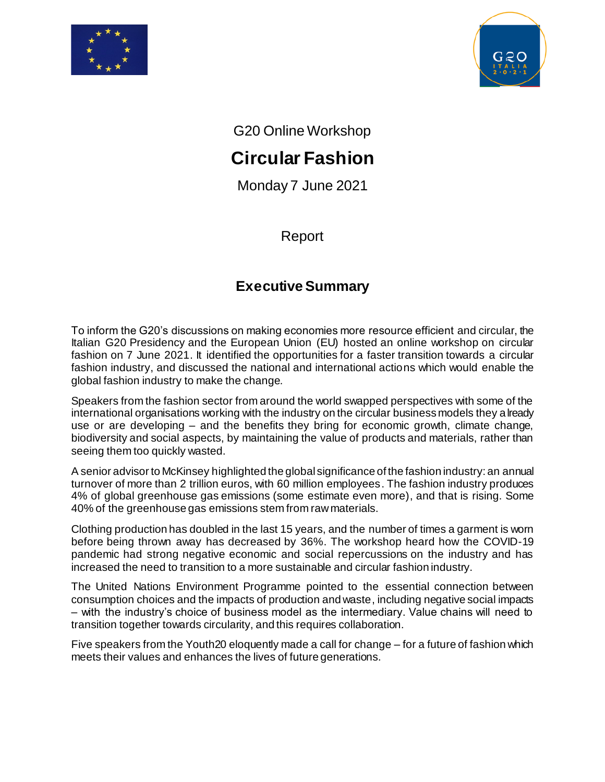



G20 Online Workshop

## **Circular Fashion**

Monday 7 June 2021

Report

## **Executive Summary**

To inform the G20's discussions on making economies more resource efficient and circular, the Italian G20 Presidency and the European Union (EU) hosted an online workshop on circular fashion on 7 June 2021. It identified the opportunities for a faster transition towards a circular fashion industry, and discussed the national and international actions which would enable the global fashion industry to make the change.

Speakers from the fashion sector from around the world swapped perspectives with some of the international organisations working with the industry on the circular business models they already use or are developing – and the benefits they bring for economic growth, climate change, biodiversity and social aspects, by maintaining the value of products and materials, rather than seeing them too quickly wasted.

A senior advisor to McKinsey highlighted the global significance of the fashion industry: an annual turnover of more than 2 trillion euros, with 60 million employees. The fashion industry produces 4% of global greenhouse gas emissions (some estimate even more), and that is rising. Some 40% of the greenhouse gas emissions stem from raw materials.

Clothing production has doubled in the last 15 years, and the number of times a garment is worn before being thrown away has decreased by 36%. The workshop heard how the COVID-19 pandemic had strong negative economic and social repercussions on the industry and has increased the need to transition to a more sustainable and circular fashion industry.

The United Nations Environment Programme pointed to the essential connection between consumption choices and the impacts of production and waste, including negative social impacts – with the industry's choice of business model as the intermediary. Value chains will need to transition together towards circularity, and this requires collaboration.

Five speakers from the Youth20 eloquently made a call for change – for a future of fashion which meets their values and enhances the lives of future generations.